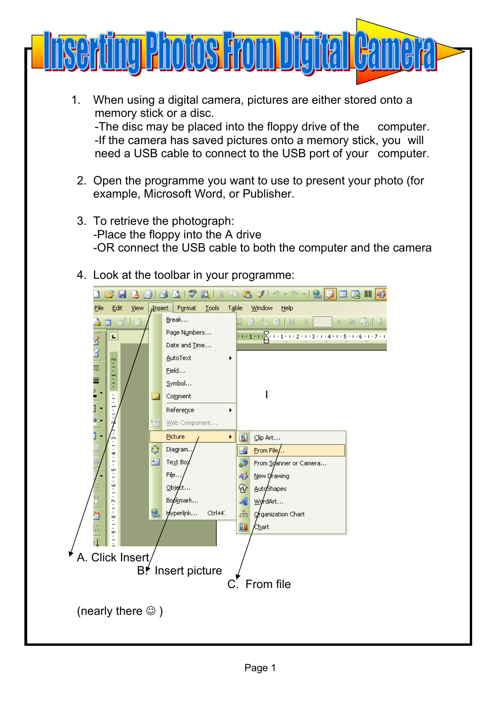

- 1. When using a digital camera, pictures are either stored onto a memory stick or a disc. -The disc may be placed into the floppy drive of the computer. -If the camera has saved pictures onto a memory stick, you will need a USB cable to connect to the USB port of your computer.
- 2. Open the programme you want to use to present your photo (for example, Microsoft Word, or Publisher.
- 3. To retrieve the photograph: -Place the floppy into the A drive -OR connect the USB cable to both the computer and the camera
- 4. Look at the toolbar in your programme:

| ∽   S <mark>B D</mark> ⊞<br>釞<br>EB.<br>出すり・日<br>區單<br>43<br>Н<br>e<br>$\mathcal{I}$<br>Α<br>ا ها<br>- 86 |      |                     |          |                                                         |
|-----------------------------------------------------------------------------------------------------------|------|---------------------|----------|---------------------------------------------------------|
| Edit<br>Eile<br><b>Insert</b><br>Format<br>Tools<br>Table<br>Window<br>Help<br>View                       |      |                     |          |                                                         |
| 目<br>國<br>$\mathbb{H}$                                                                                    |      | Break               | D)<br>BC | <b>E</b> & OIM                                          |
| L                                                                                                         |      | Page Numbers        |          | $(1+1+1)\sum_{i=1}^{n} (1+1+i+2+i+3+i+4+i+5+i+6+i+7+i)$ |
|                                                                                                           |      | Date and Time       |          |                                                         |
| KING<br>Hi<br>$\frac{2}{3}$                                                                               |      | AutoText            |          |                                                         |
| ť                                                                                                         |      | Field               |          |                                                         |
| Ξ                                                                                                         |      | Symbol              |          |                                                         |
| $\overline{\cdot}$                                                                                        |      | Comment             |          |                                                         |
| T<br>]                                                                                                    |      | Reference           |          |                                                         |
|                                                                                                           | • 31 | Web Component       |          |                                                         |
| m                                                                                                         |      | Picture             | B<br>▶   | ⊆lip Art                                                |
| 4                                                                                                         | ೈ    | Diagram.            | 세        | $From File/$                                            |
| $\overline{\cdot}$<br>ы                                                                                   | 圄    | Text Boy            | 5        | From Syanner or Camera                                  |
| $\overline{\cdot}$                                                                                        |      | File                | 43       | New Drawing                                             |
| φ                                                                                                         |      | Object              | ♔        | Auto/Shapes                                             |
| r.                                                                                                        |      | Boøkmark            | Al       | wordArt                                                 |
| Ţ<br>Œ<br>$\infty$                                                                                        | S    | hyperlink<br>Ctrl+K | ਖ਼       | organization Chart                                      |
| ō,                                                                                                        |      |                     | 血        | ∕C <u>h</u> art                                         |
|                                                                                                           |      |                     |          |                                                         |
| A. Click Insert                                                                                           |      |                     |          |                                                         |
| Insert picture<br>B.                                                                                      |      |                     |          |                                                         |
| C. From file                                                                                              |      |                     |          |                                                         |
|                                                                                                           |      |                     |          |                                                         |
| (nearly there $\circledcirc$ )                                                                            |      |                     |          |                                                         |
|                                                                                                           |      |                     |          |                                                         |
|                                                                                                           |      |                     |          |                                                         |